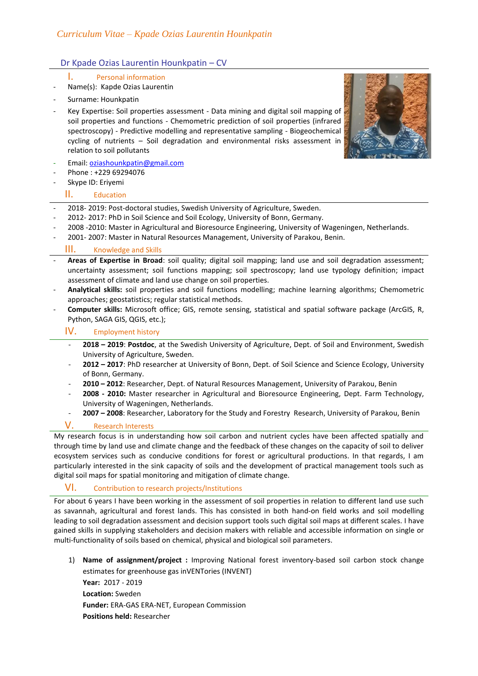# Dr Kpade Ozias Laurentin Hounkpatin – CV

- I. Personal information
- Name(s): Kapde Ozias Laurentin
- Surname: Hounkpatin
- Key Expertise: Soil properties assessment Data mining and digital soil mapping of soil properties and functions - Chemometric prediction of soil properties (infrared spectroscopy) - Predictive modelling and representative sampling - Biogeochemical cycling of nutrients – Soil degradation and environmental risks assessment in relation to soil pollutants
- Email[: oziashounkpatin@gmail.com](mailto:oziashounkpatin@gmail.com)
- Phone: +229 69294076
- Skype ID: Eriyemi

#### II. Education

- 2018- 2019: Post-doctoral studies, Swedish University of Agriculture, Sweden.
- 2012- 2017: PhD in Soil Science and Soil Ecology, University of Bonn, Germany.
- 2008 -2010: Master in Agricultural and Bioresource Engineering, University of Wageningen, Netherlands.
- 2001- 2007: Master in Natural Resources Management, University of Parakou, Benin.

#### III. Knowledge and Skills

- **Areas of Expertise in Broad**: soil quality; digital soil mapping; land use and soil degradation assessment; uncertainty assessment; soil functions mapping; soil spectroscopy; land use typology definition; impact assessment of climate and land use change on soil properties.
- **Analytical skills:** soil properties and soil functions modelling; machine learning algorithms; Chemometric approaches; geostatistics; regular statistical methods.
- **Computer skills:** Microsoft office; GIS, remote sensing, statistical and spatial software package (ArcGIS, R, Python, SAGA GIS, QGIS, etc.);

## IV. Employment history

- **2018 – 2019**: **Postdoc**, at the Swedish University of Agriculture, Dept. of Soil and Environment, Swedish University of Agriculture, Sweden.
- **2012 – 2017**: PhD researcher at University of Bonn, Dept. of Soil Science and Science Ecology, University of Bonn, Germany.
- **2010 – 2012**: Researcher, Dept. of Natural Resources Management, University of Parakou, Benin
- **2008 - 2010:** Master researcher in Agricultural and Bioresource Engineering, Dept. Farm Technology, University of Wageningen, Netherlands.
- **2007 – 2008**: Researcher, Laboratory for the Study and Forestry Research, University of Parakou, Benin

## V. Research Interests

My research focus is in understanding how soil carbon and nutrient cycles have been affected spatially and through time by land use and climate change and the feedback of these changes on the capacity of soil to deliver ecosystem services such as conducive conditions for forest or agricultural productions. In that regards, I am particularly interested in the sink capacity of soils and the development of practical management tools such as digital soil maps for spatial monitoring and mitigation of climate change.

## VI. Contribution to research projects/Institutions

For about 6 years I have been working in the assessment of soil properties in relation to different land use such as savannah, agricultural and forest lands. This has consisted in both hand-on field works and soil modelling leading to soil degradation assessment and decision support tools such digital soil maps at different scales. I have gained skills in supplying stakeholders and decision makers with reliable and accessible information on single or multi-functionality of soils based on chemical, physical and biological soil parameters.

1) **Name of assignment/project :** Improving National forest inventory-based soil carbon stock change estimates for greenhouse gas inVENTories (INVENT) **Year:** 2017 - 2019

**Location:** Sweden **Funder:** ERA-GAS ERA-NET, European Commission **Positions held:** Researcher